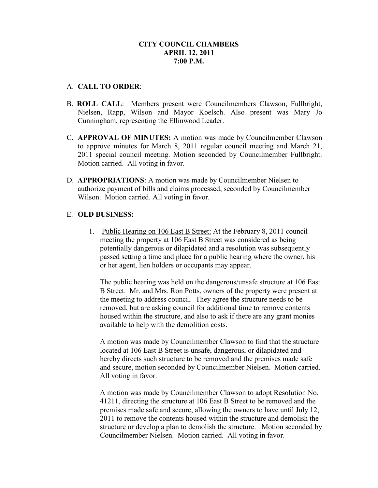#### A. **CALL TO ORDER**:

- B. **ROLL CALL**: Members present were Councilmembers Clawson, Fullbright, Nielsen, Rapp, Wilson and Mayor Koelsch. Also present was Mary Jo Cunningham, representing the Ellinwood Leader.
- C. **APPROVAL OF MINUTES:** A motion was made by Councilmember Clawson to approve minutes for March 8, 2011 regular council meeting and March 21, 2011 special council meeting. Motion seconded by Councilmember Fullbright. Motion carried. All voting in favor.
- D. **APPROPRIATIONS**: A motion was made by Councilmember Nielsen to authorize payment of bills and claims processed, seconded by Councilmember Wilson. Motion carried. All voting in favor.

## E. **OLD BUSINESS:**

1. Public Hearing on 106 East B Street: At the February 8, 2011 council meeting the property at 106 East B Street was considered as being potentially dangerous or dilapidated and a resolution was subsequently passed setting a time and place for a public hearing where the owner, his or her agent, lien holders or occupants may appear.

The public hearing was held on the dangerous/unsafe structure at 106 East B Street. Mr. and Mrs. Ron Potts, owners of the property were present at the meeting to address council. They agree the structure needs to be removed, but are asking council for additional time to remove contents housed within the structure, and also to ask if there are any grant monies available to help with the demolition costs.

A motion was made by Councilmember Clawson to find that the structure located at 106 East B Street is unsafe, dangerous, or dilapidated and hereby directs such structure to be removed and the premises made safe and secure, motion seconded by Councilmember Nielsen. Motion carried. All voting in favor.

A motion was made by Councilmember Clawson to adopt Resolution No. 41211, directing the structure at 106 East B Street to be removed and the premises made safe and secure, allowing the owners to have until July 12, 2011 to remove the contents housed within the structure and demolish the structure or develop a plan to demolish the structure. Motion seconded by Councilmember Nielsen. Motion carried. All voting in favor.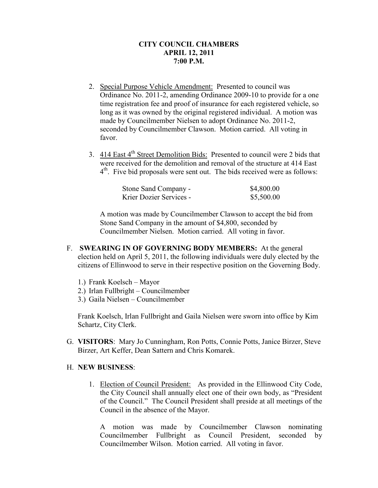- 2. Special Purpose Vehicle Amendment: Presented to council was Ordinance No. 2011-2, amending Ordinance 2009-10 to provide for a one time registration fee and proof of insurance for each registered vehicle, so long as it was owned by the original registered individual. A motion was made by Councilmember Nielsen to adopt Ordinance No. 2011-2, seconded by Councilmember Clawson. Motion carried. All voting in favor.
- 3.  $414$  East  $4<sup>th</sup>$  Street Demolition Bids: Presented to council were 2 bids that were received for the demolition and removal of the structure at 414 East  $4<sup>th</sup>$ . Five bid proposals were sent out. The bids received were as follows:

| Stone Sand Company -    | \$4,800.00 |
|-------------------------|------------|
| Krier Dozier Services - | \$5,500.00 |

A motion was made by Councilmember Clawson to accept the bid from Stone Sand Company in the amount of \$4,800, seconded by Councilmember Nielsen. Motion carried. All voting in favor.

- F. **SWEARING IN OF GOVERNING BODY MEMBERS:** At the general election held on April 5, 2011, the following individuals were duly elected by the citizens of Ellinwood to serve in their respective position on the Governing Body.
	- 1.) Frank Koelsch Mayor
	- 2.) Irlan Fullbright Councilmember
	- 3.) Gaila Nielsen Councilmember

Frank Koelsch, Irlan Fullbright and Gaila Nielsen were sworn into office by Kim Schartz, City Clerk.

G. **VISITORS**: Mary Jo Cunningham, Ron Potts, Connie Potts, Janice Birzer, Steve Birzer, Art Keffer, Dean Sattern and Chris Komarek.

# H. **NEW BUSINESS**:

1. Election of Council President: As provided in the Ellinwood City Code, the City Council shall annually elect one of their own body, as "President of the Council." The Council President shall preside at all meetings of the Council in the absence of the Mayor.

A motion was made by Councilmember Clawson nominating Councilmember Fullbright as Council President, seconded by Councilmember Wilson. Motion carried. All voting in favor.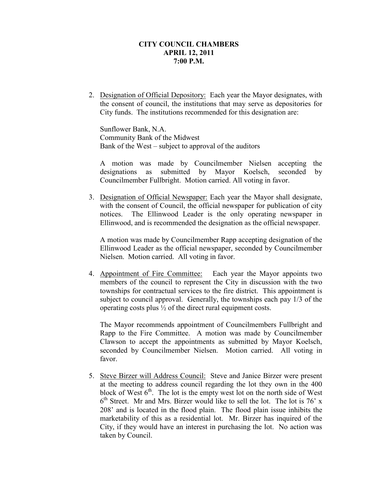2. Designation of Official Depository: Each year the Mayor designates, with the consent of council, the institutions that may serve as depositories for City funds. The institutions recommended for this designation are:

Sunflower Bank, N.A. Community Bank of the Midwest Bank of the West – subject to approval of the auditors

A motion was made by Councilmember Nielsen accepting the designations as submitted by Mayor Koelsch, seconded by Councilmember Fullbright. Motion carried. All voting in favor.

3. Designation of Official Newspaper: Each year the Mayor shall designate, with the consent of Council, the official newspaper for publication of city notices. The Ellinwood Leader is the only operating newspaper in Ellinwood, and is recommended the designation as the official newspaper.

A motion was made by Councilmember Rapp accepting designation of the Ellinwood Leader as the official newspaper, seconded by Councilmember Nielsen. Motion carried. All voting in favor.

4. Appointment of Fire Committee: Each year the Mayor appoints two members of the council to represent the City in discussion with the two townships for contractual services to the fire district. This appointment is subject to council approval. Generally, the townships each pay 1/3 of the operating costs plus ½ of the direct rural equipment costs.

The Mayor recommends appointment of Councilmembers Fullbright and Rapp to the Fire Committee. A motion was made by Councilmember Clawson to accept the appointments as submitted by Mayor Koelsch, seconded by Councilmember Nielsen. Motion carried. All voting in favor.

5. Steve Birzer will Address Council: Steve and Janice Birzer were present at the meeting to address council regarding the lot they own in the 400 block of West  $6<sup>th</sup>$ . The lot is the empty west lot on the north side of West 6 th Street. Mr and Mrs. Birzer would like to sell the lot. The lot is 76' x 208' and is located in the flood plain. The flood plain issue inhibits the marketability of this as a residential lot. Mr. Birzer has inquired of the City, if they would have an interest in purchasing the lot. No action was taken by Council.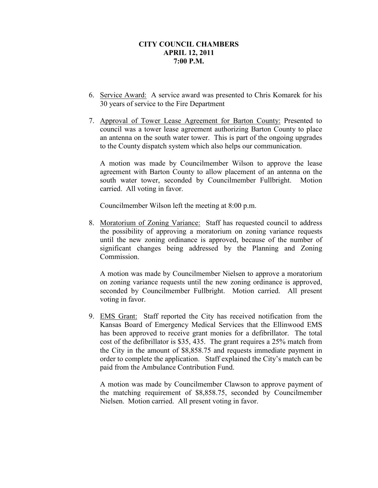- 6. Service Award: A service award was presented to Chris Komarek for his 30 years of service to the Fire Department
- 7. Approval of Tower Lease Agreement for Barton County: Presented to council was a tower lease agreement authorizing Barton County to place an antenna on the south water tower. This is part of the ongoing upgrades to the County dispatch system which also helps our communication.

A motion was made by Councilmember Wilson to approve the lease agreement with Barton County to allow placement of an antenna on the south water tower, seconded by Councilmember Fullbright. Motion carried. All voting in favor.

Councilmember Wilson left the meeting at 8:00 p.m.

8. Moratorium of Zoning Variance: Staff has requested council to address the possibility of approving a moratorium on zoning variance requests until the new zoning ordinance is approved, because of the number of significant changes being addressed by the Planning and Zoning Commission.

A motion was made by Councilmember Nielsen to approve a moratorium on zoning variance requests until the new zoning ordinance is approved, seconded by Councilmember Fullbright. Motion carried. All present voting in favor.

9. EMS Grant: Staff reported the City has received notification from the Kansas Board of Emergency Medical Services that the Ellinwood EMS has been approved to receive grant monies for a defibrillator. The total cost of the defibrillator is \$35, 435. The grant requires a 25% match from the City in the amount of \$8,858.75 and requests immediate payment in order to complete the application. Staff explained the City's match can be paid from the Ambulance Contribution Fund.

A motion was made by Councilmember Clawson to approve payment of the matching requirement of \$8,858.75, seconded by Councilmember Nielsen. Motion carried. All present voting in favor.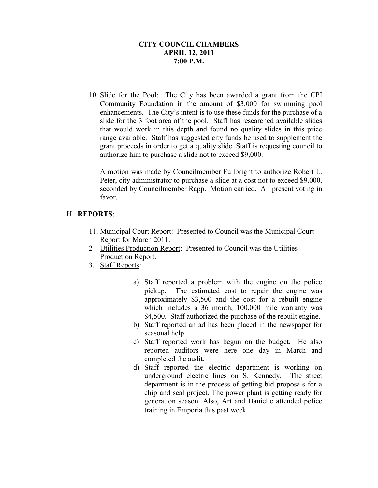10. Slide for the Pool: The City has been awarded a grant from the CPI Community Foundation in the amount of \$3,000 for swimming pool enhancements. The City's intent is to use these funds for the purchase of a slide for the 3 foot area of the pool. Staff has researched available slides that would work in this depth and found no quality slides in this price range available. Staff has suggested city funds be used to supplement the grant proceeds in order to get a quality slide. Staff is requesting council to authorize him to purchase a slide not to exceed \$9,000.

A motion was made by Councilmember Fullbright to authorize Robert L. Peter, city administrator to purchase a slide at a cost not to exceed \$9,000, seconded by Councilmember Rapp. Motion carried. All present voting in favor.

## H. **REPORTS**:

- 11. Municipal Court Report: Presented to Council was the Municipal Court Report for March 2011.
- 2 Utilities Production Report: Presented to Council was the Utilities Production Report.
- 3. Staff Reports:
	- a) Staff reported a problem with the engine on the police pickup. The estimated cost to repair the engine was approximately \$3,500 and the cost for a rebuilt engine which includes a 36 month, 100,000 mile warranty was \$4,500. Staff authorized the purchase of the rebuilt engine.
	- b) Staff reported an ad has been placed in the newspaper for seasonal help.
	- c) Staff reported work has begun on the budget. He also reported auditors were here one day in March and completed the audit.
	- d) Staff reported the electric department is working on underground electric lines on S. Kennedy. The street department is in the process of getting bid proposals for a chip and seal project. The power plant is getting ready for generation season. Also, Art and Danielle attended police training in Emporia this past week.